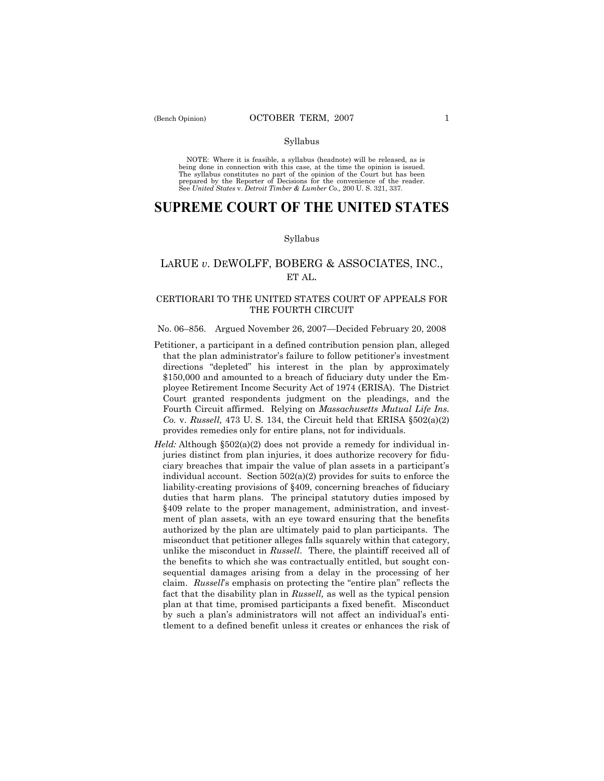### Syllabus

NOTE: Where it is feasible, a syllabus (headnote) will be released, as is being done in connection with this case, at the time the opinion is issued. The syllabus constitutes no part of the opinion of the Court but has been<br>prepared by the Reporter of Decisions for the convenience of the reader.<br>See United States v. Detroit Timber & Lumber Co., 200 U. S. 321, 337.

# **SUPREME COURT OF THE UNITED STATES**

#### Syllabus

## LARUE *v*. DEWOLFF, BOBERG & ASSOCIATES, INC., ET AL.

### CERTIORARI TO THE UNITED STATES COURT OF APPEALS FOR THE FOURTH CIRCUIT

### No. 06–856. Argued November 26, 2007—Decided February 20, 2008

- Petitioner, a participant in a defined contribution pension plan, alleged that the plan administrator's failure to follow petitioner's investment directions "depleted" his interest in the plan by approximately \$150,000 and amounted to a breach of fiduciary duty under the Employee Retirement Income Security Act of 1974 (ERISA). The District Court granted respondents judgment on the pleadings, and the Fourth Circuit affirmed. Relying on *Massachusetts Mutual Life Ins. Co.* v. *Russell,* 473 U. S. 134, the Circuit held that ERISA §502(a)(2) provides remedies only for entire plans, not for individuals.
- *Held:* Although §502(a)(2) does not provide a remedy for individual injuries distinct from plan injuries, it does authorize recovery for fiduciary breaches that impair the value of plan assets in a participant's individual account. Section 502(a)(2) provides for suits to enforce the liability-creating provisions of §409, concerning breaches of fiduciary duties that harm plans. The principal statutory duties imposed by §409 relate to the proper management, administration, and investment of plan assets, with an eye toward ensuring that the benefits authorized by the plan are ultimately paid to plan participants. The misconduct that petitioner alleges falls squarely within that category, unlike the misconduct in *Russell*. There, the plaintiff received all of the benefits to which she was contractually entitled, but sought consequential damages arising from a delay in the processing of her claim. *Russell*'s emphasis on protecting the "entire plan" reflects the fact that the disability plan in *Russell,* as well as the typical pension plan at that time, promised participants a fixed benefit. Misconduct by such a plan's administrators will not affect an individual's entitlement to a defined benefit unless it creates or enhances the risk of